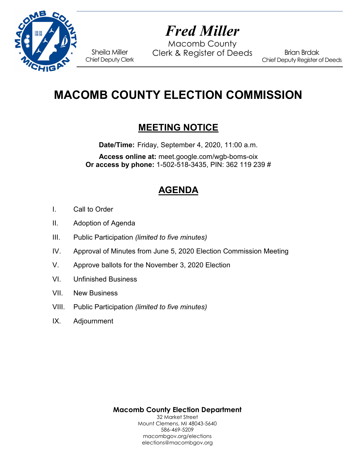

# *Fred Miller*

Macomb County Sheila Miller Clerk & Register of Deeds<br>Chief Deputy Clerk

Brian Brdak Chief Deputy Register of Deeds

## **MACOMB COUNTY ELECTION COMMISSION**

### **MEETING NOTICE**

**Date/Time:** Friday, September 4, 2020, 11:00 a.m.

**Access online at:** meet.google.com/wgb-boms-oix **Or access by phone:** 1-502-518-3435, PIN: 362 119 239 #

## **AGENDA**

- I. Call to Order
- II. Adoption of Agenda
- III. Public Participation *(limited to five minutes)*
- IV. Approval of Minutes from June 5, 2020 Election Commission Meeting
- V. Approve ballots for the November 3, 2020 Election
- VI. Unfinished Business
- VII. New Business
- VIII. Public Participation *(limited to five minutes)*
- IX. Adjournment

**Macomb County Election Department** 32 Market Street Mount Clemens, MI 48043-5640 586-469-5209 macombgov.org/elections elections@macombgov.org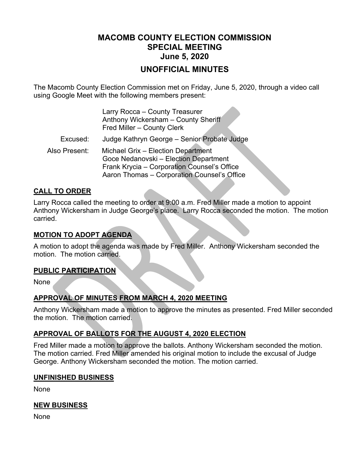### **MACOMB COUNTY ELECTION COMMISSION SPECIAL MEETING June 5, 2020**

#### **UNOFFICIAL MINUTES**

z.

The Macomb County Election Commission met on Friday, June 5, 2020, through a video call using Google Meet with the following members present:

|               | Larry Rocca - County Treasurer<br>Anthony Wickersham - County Sheriff<br>Fred Miller - County Clerk                                                                       |
|---------------|---------------------------------------------------------------------------------------------------------------------------------------------------------------------------|
| Excused:      | Judge Kathryn George - Senior Probate Judge                                                                                                                               |
| Also Present: | Michael Grix - Election Department<br>Goce Nedanovski - Election Department<br>Frank Krycia - Corporation Counsel's Office<br>Aaron Thomas - Corporation Counsel's Office |

#### **CALL TO ORDER**

Larry Rocca called the meeting to order at 9:00 a.m. Fred Miller made a motion to appoint Anthony Wickersham in Judge George's place. Larry Rocca seconded the motion. The motion carried.

#### **MOTION TO ADOPT AGENDA**

A motion to adopt the agenda was made by Fred Miller. Anthony Wickersham seconded the motion. The motion carried.

#### **PUBLIC PARTICIPATION**

None

#### **APPROVAL OF MINUTES FROM MARCH 4, 2020 MEETING**

Anthony Wickersham made a motion to approve the minutes as presented. Fred Miller seconded the motion. The motion carried.

#### **APPROVAL OF BALLOTS FOR THE AUGUST 4, 2020 ELECTION**

Fred Miller made a motion to approve the ballots. Anthony Wickersham seconded the motion. The motion carried. Fred Miller amended his original motion to include the excusal of Judge George. Anthony Wickersham seconded the motion. The motion carried.

#### **UNFINISHED BUSINESS**

None

#### **NEW BUSINESS**

None